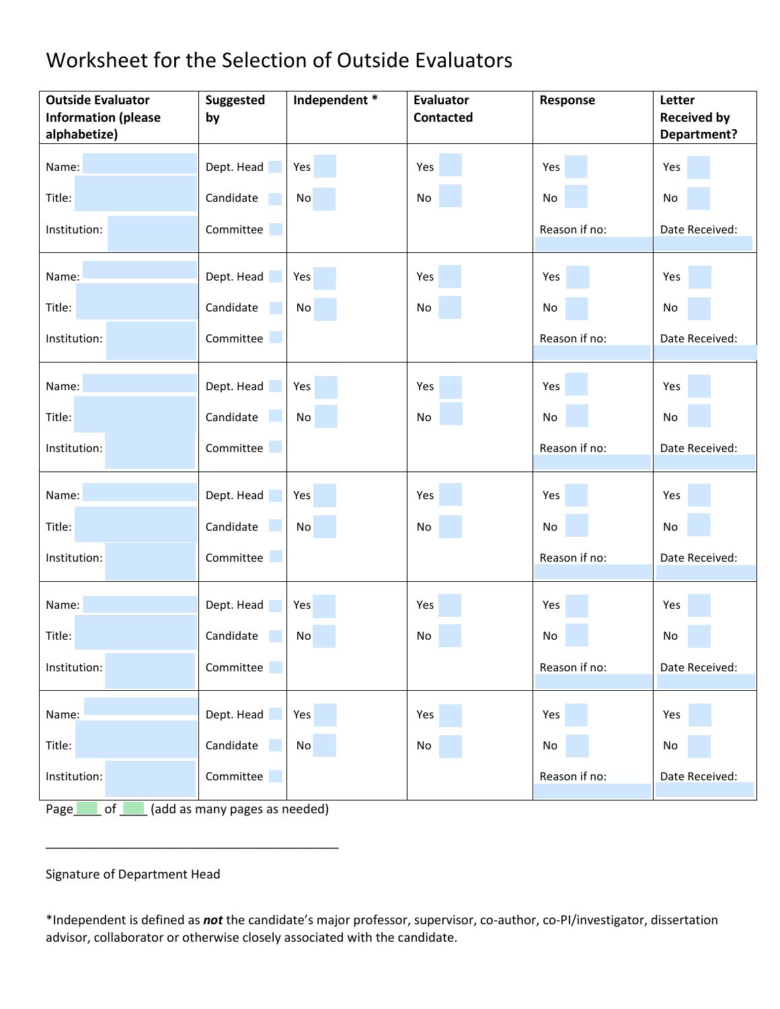## Worksheet for the Selection of Outside Evaluators

| Name:<br>Dept. Head<br>Yes<br>Yes<br>Yes<br>Yes<br>Title:<br>Candidate<br>No<br>No<br>No<br>No<br>Reason if no:<br>Institution:<br>Committee<br>Dept. Head<br>Yes<br>Name:<br>Yes<br>Yes<br>Yes<br>Title:<br>Candidate<br>No<br>No<br>No<br>No<br>Committee<br>Institution:<br>Reason if no:<br>Dept. Head<br>Name:<br>Yes<br>Yes<br>Yes<br>Yes<br>Title:<br>Candidate<br>No<br>No<br>No<br>No<br>Committee<br>Institution:<br>Reason if no:<br>Name:<br>Dept. Head<br>Yes<br>Yes<br>Yes<br>Yes<br>Title:<br>Candidate<br>No<br>No<br>No<br>No<br>Institution:<br>Committee<br>Reason if no: | <b>Outside Evaluator</b><br><b>Information (please</b> | Independent *<br><b>Suggested</b><br>by | <b>Evaluator</b><br><b>Contacted</b> | Response | Letter<br><b>Received by</b> |
|----------------------------------------------------------------------------------------------------------------------------------------------------------------------------------------------------------------------------------------------------------------------------------------------------------------------------------------------------------------------------------------------------------------------------------------------------------------------------------------------------------------------------------------------------------------------------------------------|--------------------------------------------------------|-----------------------------------------|--------------------------------------|----------|------------------------------|
|                                                                                                                                                                                                                                                                                                                                                                                                                                                                                                                                                                                              | alphabetize)                                           |                                         |                                      |          | <b>Department?</b>           |
|                                                                                                                                                                                                                                                                                                                                                                                                                                                                                                                                                                                              |                                                        |                                         |                                      |          |                              |
|                                                                                                                                                                                                                                                                                                                                                                                                                                                                                                                                                                                              |                                                        |                                         |                                      |          |                              |
|                                                                                                                                                                                                                                                                                                                                                                                                                                                                                                                                                                                              |                                                        |                                         |                                      |          | Date Received:               |
|                                                                                                                                                                                                                                                                                                                                                                                                                                                                                                                                                                                              |                                                        |                                         |                                      |          |                              |
|                                                                                                                                                                                                                                                                                                                                                                                                                                                                                                                                                                                              |                                                        |                                         |                                      |          |                              |
|                                                                                                                                                                                                                                                                                                                                                                                                                                                                                                                                                                                              |                                                        |                                         |                                      |          | Date Received:               |
|                                                                                                                                                                                                                                                                                                                                                                                                                                                                                                                                                                                              |                                                        |                                         |                                      |          |                              |
|                                                                                                                                                                                                                                                                                                                                                                                                                                                                                                                                                                                              |                                                        |                                         |                                      |          |                              |
|                                                                                                                                                                                                                                                                                                                                                                                                                                                                                                                                                                                              |                                                        |                                         |                                      |          | Date Received:               |
|                                                                                                                                                                                                                                                                                                                                                                                                                                                                                                                                                                                              |                                                        |                                         |                                      |          |                              |
|                                                                                                                                                                                                                                                                                                                                                                                                                                                                                                                                                                                              |                                                        |                                         |                                      |          |                              |
|                                                                                                                                                                                                                                                                                                                                                                                                                                                                                                                                                                                              |                                                        |                                         |                                      |          | Date Received:               |
| Name:<br>Dept. Head<br>Yes<br>Yes<br>Yes<br>Yes                                                                                                                                                                                                                                                                                                                                                                                                                                                                                                                                              |                                                        |                                         |                                      |          |                              |
| Title:<br>Candidate<br>No<br>No<br>No<br>No                                                                                                                                                                                                                                                                                                                                                                                                                                                                                                                                                  |                                                        |                                         |                                      |          |                              |
| Reason if no:<br>Committee<br>Institution:                                                                                                                                                                                                                                                                                                                                                                                                                                                                                                                                                   |                                                        |                                         |                                      |          | Date Received:               |
| Dept. Head<br>Yes<br>Yes<br>Yes<br>Yes<br>Name:                                                                                                                                                                                                                                                                                                                                                                                                                                                                                                                                              |                                                        |                                         |                                      |          |                              |
| Candidate<br><b>No</b><br>Title:<br>No<br>No<br>No                                                                                                                                                                                                                                                                                                                                                                                                                                                                                                                                           |                                                        |                                         |                                      |          |                              |
| Institution:<br>Committee<br>Reason if no:                                                                                                                                                                                                                                                                                                                                                                                                                                                                                                                                                   |                                                        |                                         |                                      |          | Date Received:               |

Page of  $\Box$  (add as many pages as needed)

\_\_\_\_\_\_\_\_\_\_\_\_\_\_\_\_\_\_\_\_\_\_\_\_\_\_\_\_\_\_\_\_\_\_\_\_\_\_\_\_\_\_

Signature of Department Head

\*Independent is defined as *not* the candidate's major professor, supervisor, co-author, co-PI/investigator, dissertation advisor, collaborator or otherwise closely associated with the candidate.